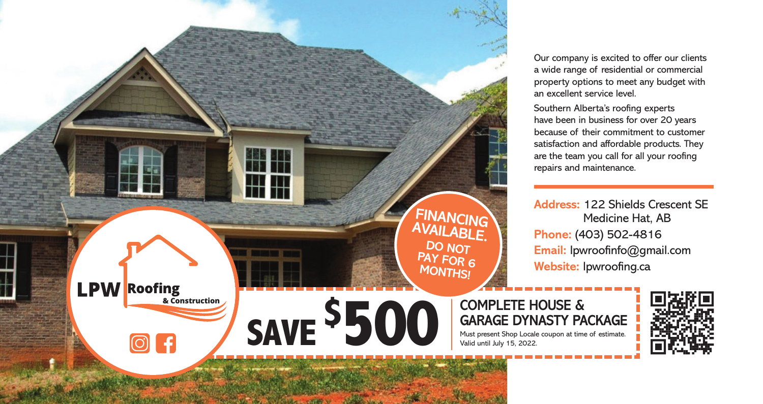

Our company is excited to offer our clients a wide range of residential or commercial property options to meet any budget with an excellent service level.

Southern Alberta's roofing experts have been in business for over 20 years because of their commitment to customer satisfaction and affordable products. They are the team you call for all your roofing repairs and maintenance.

**Address:** 122 Shields Crescent SE Medicine Hat, AB **Phone:** (403) 502-4816 **Email:** lpwroofinfo@gmail.com **Website:** lpwroofing.ca

## **GARAGE DYNASTY PACKAGE**

Must present Shop Locale coupon at time of estimate. Valid until July 15, 2022.